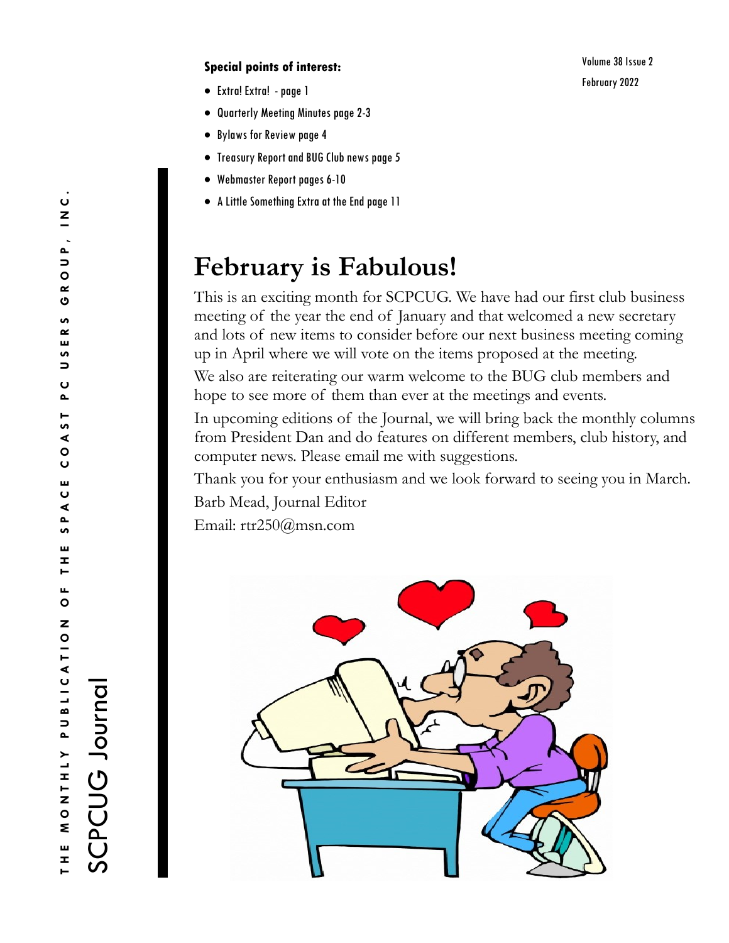#### **Special points of interest:**

- Extra! Extra! -page 1
- Quarterly Meeting Minutes page 2-3
- Bylaws for Review page 4
- Treasury Report and BUG Club news page 5
- Webmaster Report pages 6-10
- A Little Something Extra at the End page 11

# **February is Fabulous!**

This is an exciting month for SCPCUG. We have had our first club business meeting of the year the end of January and that welcomed a new secretary and lots of new items to consider before our next business meeting coming up in April where we will vote on the items proposed at the meeting. We also are reiterating our warm welcome to the BUG club members and hope to see more of them than ever at the meetings and events.

In upcoming editions of the Journal, we will bring back the monthly columns from President Dan and do features on different members, club history, and computer news. Please email me with suggestions.

Thank you for your enthusiasm and we look forward to seeing you in March. Barb Mead, Journal Editor

Email: rtr250@msn.com



SCPCUG Journal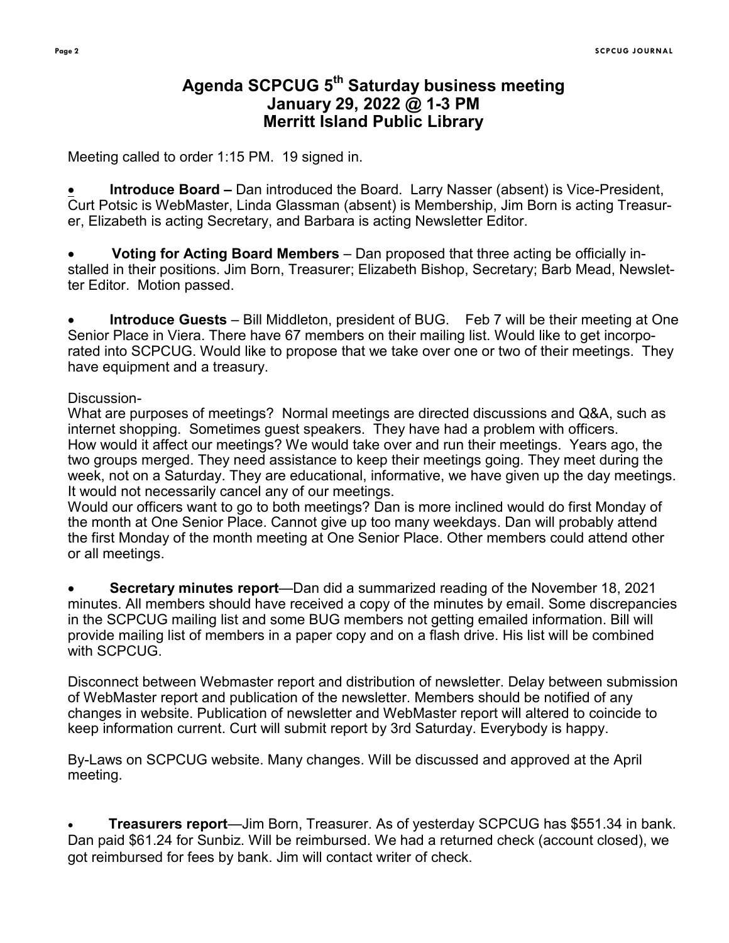# **Agenda SCPCUG 5th Saturday business meeting January 29, 2022 @ 1-3 PM Merritt Island Public Library**

Meeting called to order 1:15 PM. 19 signed in.

• **Introduce Board –** Dan introduced the Board. Larry Nasser (absent) is Vice-President, Curt Potsic is WebMaster, Linda Glassman (absent) is Membership, Jim Born is acting Treasurer, Elizabeth is acting Secretary, and Barbara is acting Newsletter Editor.

• **Voting for Acting Board Members** – Dan proposed that three acting be officially installed in their positions. Jim Born, Treasurer; Elizabeth Bishop, Secretary; Barb Mead, Newsletter Editor. Motion passed.

• **Introduce Guests** – Bill Middleton, president of BUG. Feb 7 will be their meeting at One Senior Place in Viera. There have 67 members on their mailing list. Would like to get incorporated into SCPCUG. Would like to propose that we take over one or two of their meetings. They have equipment and a treasury.

#### Discussion-

What are purposes of meetings? Normal meetings are directed discussions and Q&A, such as internet shopping. Sometimes guest speakers. They have had a problem with officers. How would it affect our meetings? We would take over and run their meetings. Years ago, the two groups merged. They need assistance to keep their meetings going. They meet during the week, not on a Saturday. They are educational, informative, we have given up the day meetings. It would not necessarily cancel any of our meetings.

Would our officers want to go to both meetings? Dan is more inclined would do first Monday of the month at One Senior Place. Cannot give up too many weekdays. Dan will probably attend the first Monday of the month meeting at One Senior Place. Other members could attend other or all meetings.

• **Secretary minutes report**—Dan did a summarized reading of the November 18, 2021 minutes. All members should have received a copy of the minutes by email. Some discrepancies in the SCPCUG mailing list and some BUG members not getting emailed information. Bill will provide mailing list of members in a paper copy and on a flash drive. His list will be combined with SCPCUG.

Disconnect between Webmaster report and distribution of newsletter. Delay between submission of WebMaster report and publication of the newsletter. Members should be notified of any changes in website. Publication of newsletter and WebMaster report will altered to coincide to keep information current. Curt will submit report by 3rd Saturday. Everybody is happy.

By-Laws on SCPCUG website. Many changes. Will be discussed and approved at the April meeting.

• **Treasurers report**—Jim Born, Treasurer. As of yesterday SCPCUG has \$551.34 in bank. Dan paid \$61.24 for Sunbiz. Will be reimbursed. We had a returned check (account closed), we got reimbursed for fees by bank. Jim will contact writer of check.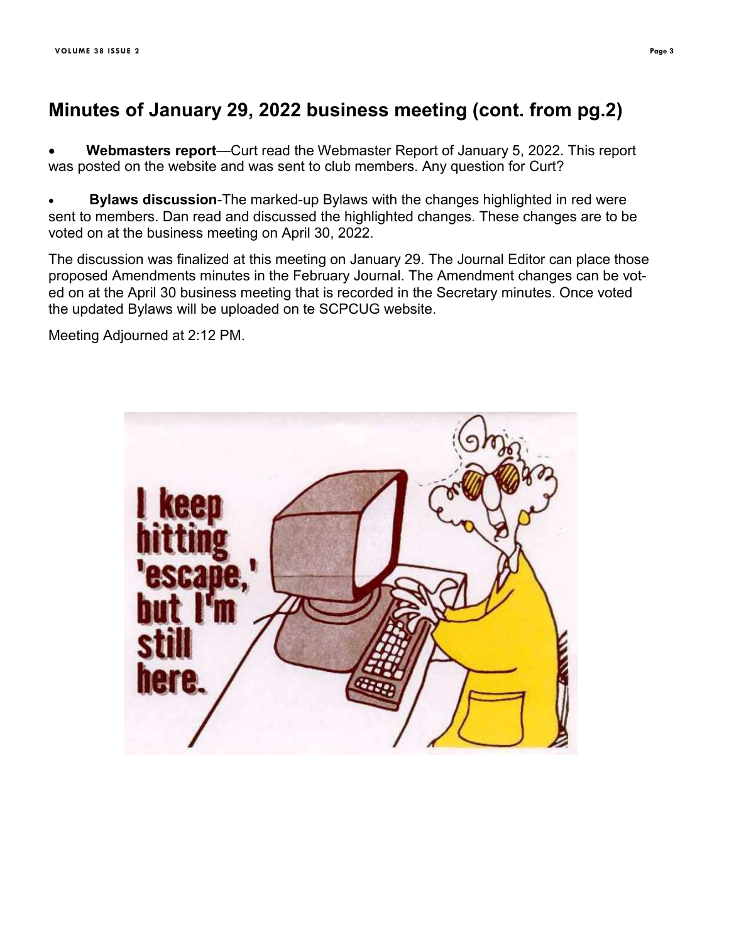# **Minutes of January 29, 2022 business meeting (cont. from pg.2)**

• **Webmasters report**—Curt read the Webmaster Report of January 5, 2022. This report was posted on the website and was sent to club members. Any question for Curt?

• **Bylaws discussion**-The marked-up Bylaws with the changes highlighted in red were sent to members. Dan read and discussed the highlighted changes. These changes are to be voted on at the business meeting on April 30, 2022.

The discussion was finalized at this meeting on January 29. The Journal Editor can place those proposed Amendments minutes in the February Journal. The Amendment changes can be voted on at the April 30 business meeting that is recorded in the Secretary minutes. Once voted the updated Bylaws will be uploaded on te SCPCUG website.

Meeting Adjourned at 2:12 PM.

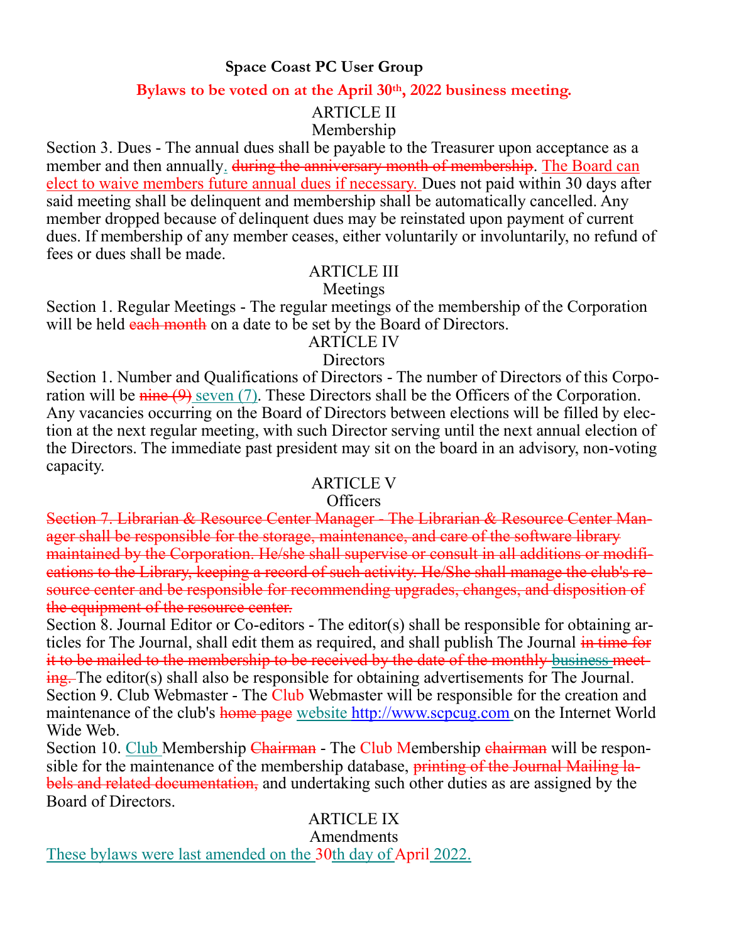## **Space Coast PC User Group**

## **Bylaws to be voted on at the April 30th, 2022 business meeting.**

# ARTICLE II

## Membership

Section 3. Dues - The annual dues shall be payable to the Treasurer upon acceptance as a member and then annually. during the anniversary month of membership. The Board can elect to waive members future annual dues if necessary. Dues not paid within 30 days after said meeting shall be delinquent and membership shall be automatically cancelled. Any member dropped because of delinquent dues may be reinstated upon payment of current dues. If membership of any member ceases, either voluntarily or involuntarily, no refund of fees or dues shall be made.

## ARTICLE III

## Meetings

Section 1. Regular Meetings - The regular meetings of the membership of the Corporation will be held each month on a date to be set by the Board of Directors.

## ARTICLE IV

## **Directors**

Section 1. Number and Qualifications of Directors - The number of Directors of this Corporation will be  $\frac{\text{time}(9)}{\text{s}}$  seven (7). These Directors shall be the Officers of the Corporation. Any vacancies occurring on the Board of Directors between elections will be filled by election at the next regular meeting, with such Director serving until the next annual election of the Directors. The immediate past president may sit on the board in an advisory, non-voting capacity.

## ARTICLE V

## Officers

Section 7. Librarian & Resource Center Manager - The Librarian & Resource Center Manager shall be responsible for the storage, maintenance, and care of the software library maintained by the Corporation. He/she shall supervise or consult in all additions or modifications to the Library, keeping a record of such activity. He/She shall manage the club's resource center and be responsible for recommending upgrades, changes, and disposition of the equipment of the resource center.

Section 8. Journal Editor or Co-editors - The editor(s) shall be responsible for obtaining articles for The Journal, shall edit them as required, and shall publish The Journal in time for it to be mailed to the membership to be received by the date of the monthly business meeting. The editor(s) shall also be responsible for obtaining advertisements for The Journal. Section 9. Club Webmaster - The Club Webmaster will be responsible for the creation and maintenance of the club's home page website<http://www.scpcug.com> on the Internet World Wide Web.

Section 10. Club Membership Chairman - The Club Membership chairman will be responsible for the maintenance of the membership database, printing of the Journal Mailing labels and related documentation, and undertaking such other duties as are assigned by the Board of Directors.

# ARTICLE IX

## Amendments

These bylaws were last amended on the 30th day of April 2022.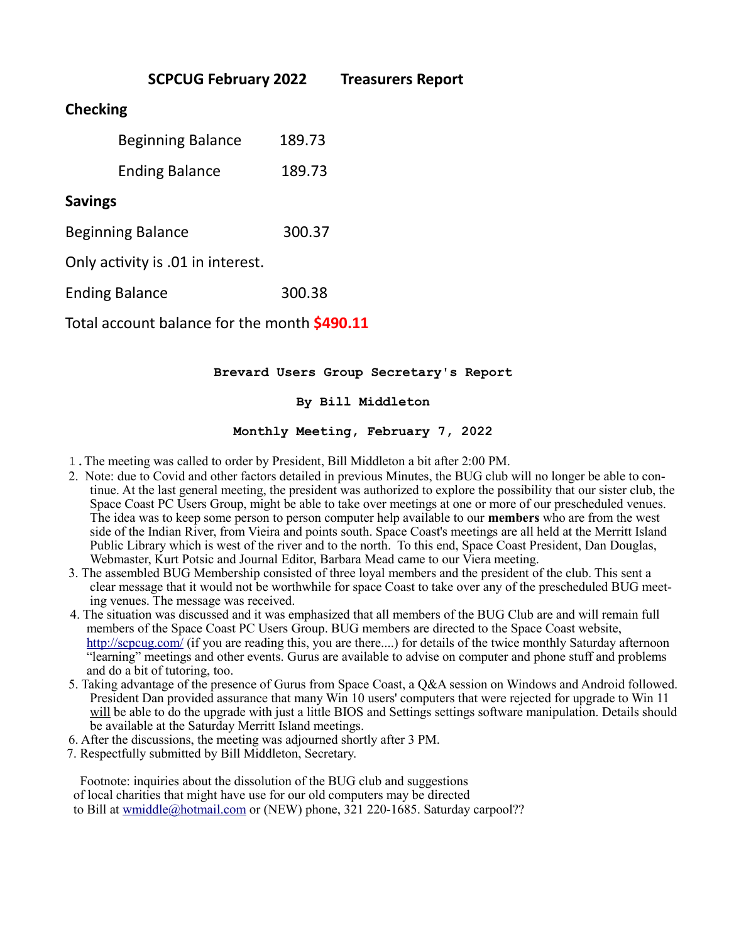|                                              | <b>SCPCUG February 2022</b> |        | <b>Treasurers Report</b> |
|----------------------------------------------|-----------------------------|--------|--------------------------|
| <b>Checking</b>                              |                             |        |                          |
|                                              | <b>Beginning Balance</b>    | 189.73 |                          |
|                                              | <b>Ending Balance</b>       | 189.73 |                          |
| <b>Savings</b>                               |                             |        |                          |
| <b>Beginning Balance</b>                     |                             | 300.37 |                          |
| Only activity is .01 in interest.            |                             |        |                          |
| <b>Ending Balance</b>                        |                             | 300.38 |                          |
| Total account balance for the month \$490.11 |                             |        |                          |
|                                              |                             |        |                          |

#### **Brevard Users Group Secretary's Report**

#### **By Bill Middleton**

#### **Monthly Meeting, February 7, 2022**

- 1.The meeting was called to order by President, Bill Middleton a bit after 2:00 PM.
- 2. Note: due to Covid and other factors detailed in previous Minutes, the BUG club will no longer be able to continue. At the last general meeting, the president was authorized to explore the possibility that our sister club, the Space Coast PC Users Group, might be able to take over meetings at one or more of our prescheduled venues. The idea was to keep some person to person computer help available to our **members** who are from the west side of the Indian River, from Vieira and points south. Space Coast's meetings are all held at the Merritt Island Public Library which is west of the river and to the north. To this end, Space Coast President, Dan Douglas, Webmaster, Kurt Potsic and Journal Editor, Barbara Mead came to our Viera meeting.
- 3. The assembled BUG Membership consisted of three loyal members and the president of the club. This sent a clear message that it would not be worthwhile for space Coast to take over any of the prescheduled BUG meeting venues. The message was received.
- 4. The situation was discussed and it was emphasized that all members of the BUG Club are and will remain full members of the Space Coast PC Users Group. BUG members are directed to the Space Coast website, <http://scpcug.com/> (if you are reading this, you are there....) for details of the twice monthly Saturday afternoon "learning" meetings and other events. Gurus are available to advise on computer and phone stuff and problems and do a bit of tutoring, too.
- 5. Taking advantage of the presence of Gurus from Space Coast, a Q&A session on Windows and Android followed. President Dan provided assurance that many Win 10 users' computers that were rejected for upgrade to Win 11 will be able to do the upgrade with just a little BIOS and Settings settings software manipulation. Details should be available at the Saturday Merritt Island meetings.
- 6. After the discussions, the meeting was adjourned shortly after 3 PM.
- 7. Respectfully submitted by Bill Middleton, Secretary.

 Footnote: inquiries about the dissolution of the BUG club and suggestions of local charities that might have use for our old computers may be directed to Bill at [wmiddle@hotmail.com](mailto:wmiddle@hotmail.com) or (NEW) phone, 321 220-1685. Saturday carpool??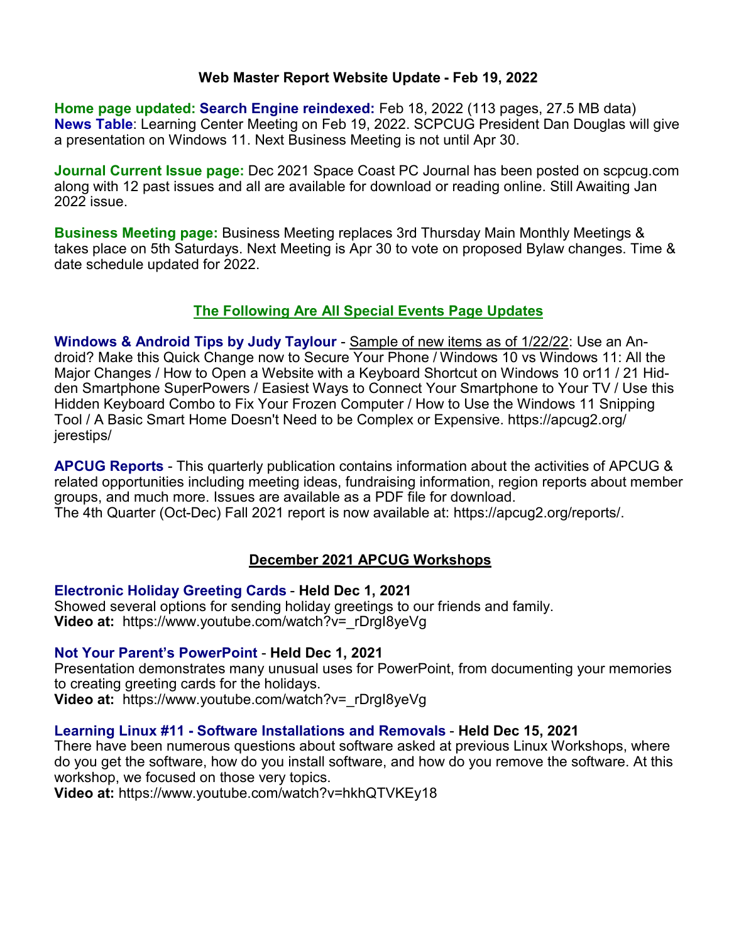#### **Web Master Report Website Update - Feb 19, 2022**

**Home page updated: Search Engine reindexed:** Feb 18, 2022 (113 pages, 27.5 MB data) **News Table**: Learning Center Meeting on Feb 19, 2022. SCPCUG President Dan Douglas will give a presentation on Windows 11. Next Business Meeting is not until Apr 30.

**Journal Current Issue page:** Dec 2021 Space Coast PC Journal has been posted on scpcug.com along with 12 past issues and all are available for download or reading online. Still Awaiting Jan 2022 issue.

**Business Meeting page:** Business Meeting replaces 3rd Thursday Main Monthly Meetings & takes place on 5th Saturdays. Next Meeting is Apr 30 to vote on proposed Bylaw changes. Time & date schedule updated for 2022.

#### **The Following Are All Special Events Page Updates**

**Windows & Android Tips by Judy Taylour** - Sample of new items as of 1/22/22: Use an Android? Make this Quick Change now to Secure Your Phone / Windows 10 vs Windows 11: All the Major Changes / How to Open a Website with a Keyboard Shortcut on Windows 10 or11 / 21 Hidden Smartphone SuperPowers / Easiest Ways to Connect Your Smartphone to Your TV / Use this Hidden Keyboard Combo to Fix Your Frozen Computer / How to Use the Windows 11 Snipping Tool / A Basic Smart Home Doesn't Need to be Complex or Expensive. [https://apcug2.org/](https://apcug2.org/jerestips/) [jerestips/](https://apcug2.org/jerestips/) 

**APCUG Reports** - This quarterly publication contains information about the activities of APCUG & related opportunities including meeting ideas, fundraising information, region reports about member groups, and much more. Issues are available as a PDF file for download. The 4th Quarter (Oct-Dec) Fall 2021 report is now available at: [https://apcug2.org/reports/.](https://apcug2.org/reports/)

## **December 2021 APCUG Workshops**

#### **Electronic Holiday Greeting Cards** - **Held Dec 1, 2021**

Showed several options for sending holiday greetings to our friends and family. **Video at:** [https://www.youtube.com/watch?v=\\_rDrgI8yeVg](https://www.youtube.com/watch?v=_rDrgI8yeVg)

#### **Not Your Parent's PowerPoint** - **Held Dec 1, 2021**

Presentation demonstrates many unusual uses for PowerPoint, from documenting your memories to creating greeting cards for the holidays.

**Video at:** https://www.youtube.com/watch?v= rDrgI8yeVg

#### **Learning Linux #11 - Software Installations and Removals** - **Held Dec 15, 2021**

There have been numerous questions about software asked at previous Linux Workshops, where do you get the software, how do you install software, and how do you remove the software. At this workshop, we focused on those very topics.

**Video at:** <https://www.youtube.com/watch?v=hkhQTVKEy18>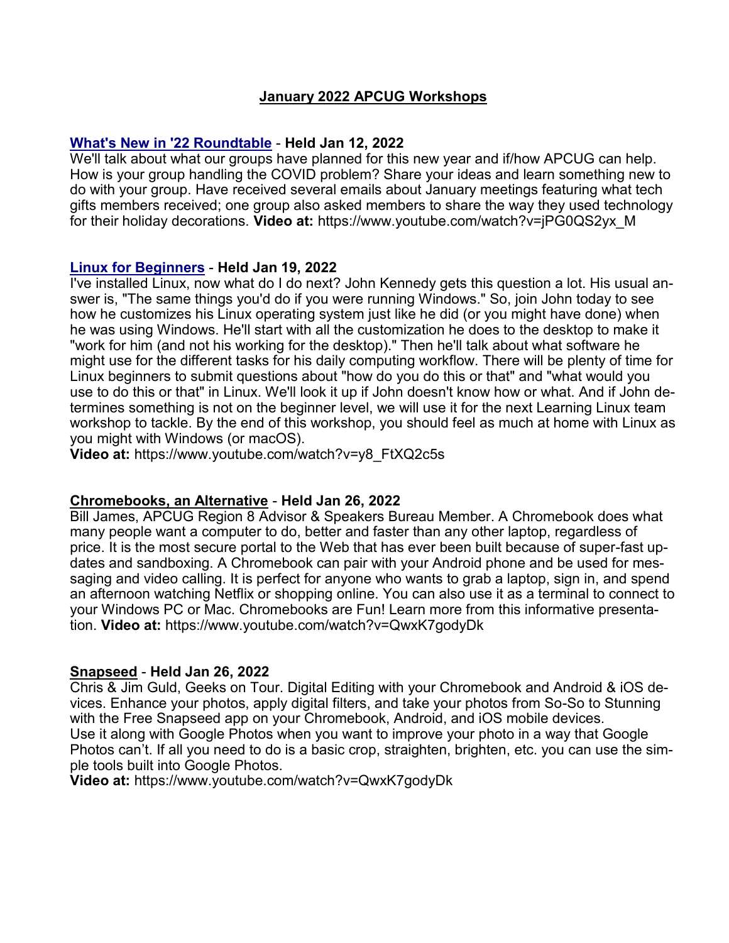#### **January 2022 APCUG Workshops**

#### **What's New in '22 Roundtable** - **Held Jan 12, 2022**

We'll talk about what our groups have planned for this new year and if/how APCUG can help. How is your group handling the COVID problem? Share your ideas and learn something new to do with your group. Have received several emails about January meetings featuring what tech gifts members received; one group also asked members to share the way they used technology for their holiday decorations. **Video at:** [https://www.youtube.com/watch?v=jPG0QS2yx\\_M](https://www.youtube.com/watch?v=jPG0QS2yx_M)

#### **Linux for Beginners** - **Held Jan 19, 2022**

I've installed Linux, now what do I do next? John Kennedy gets this question a lot. His usual answer is, "The same things you'd do if you were running Windows." So, join John today to see how he customizes his Linux operating system just like he did (or you might have done) when he was using Windows. He'll start with all the customization he does to the desktop to make it "work for him (and not his working for the desktop)." Then he'll talk about what software he might use for the different tasks for his daily computing workflow. There will be plenty of time for Linux beginners to submit questions about "how do you do this or that" and "what would you use to do this or that" in Linux. We'll look it up if John doesn't know how or what. And if John determines something is not on the beginner level, we will use it for the next Learning Linux team workshop to tackle. By the end of this workshop, you should feel as much at home with Linux as you might with Windows (or macOS).

**Video at:** [https://www.youtube.com/watch?v=y8\\_FtXQ2c5s](https://www.youtube.com/watch?v=y8_FtXQ2c5s)

#### **Chromebooks, an Alternative** - **Held Jan 26, 2022**

Bill James, APCUG Region 8 Advisor & Speakers Bureau Member. A Chromebook does what many people want a computer to do, better and faster than any other laptop, regardless of price. It is the most secure portal to the Web that has ever been built because of super-fast updates and sandboxing. A Chromebook can pair with your Android phone and be used for messaging and video calling. It is perfect for anyone who wants to grab a laptop, sign in, and spend an afternoon watching Netflix or shopping online. You can also use it as a terminal to connect to your Windows PC or Mac. Chromebooks are Fun! Learn more from this informative presentation. **Video at:** <https://www.youtube.com/watch?v=QwxK7godyDk>

#### **Snapseed** - **Held Jan 26, 2022**

Chris & Jim Guld, Geeks on Tour. Digital Editing with your Chromebook and Android & iOS devices. Enhance your photos, apply digital filters, and take your photos from So-So to Stunning with the Free Snapseed app on your Chromebook, Android, and iOS mobile devices. Use it along with Google Photos when you want to improve your photo in a way that Google Photos can't. If all you need to do is a basic crop, straighten, brighten, etc. you can use the simple tools built into Google Photos.

**Video at:** <https://www.youtube.com/watch?v=QwxK7godyDk>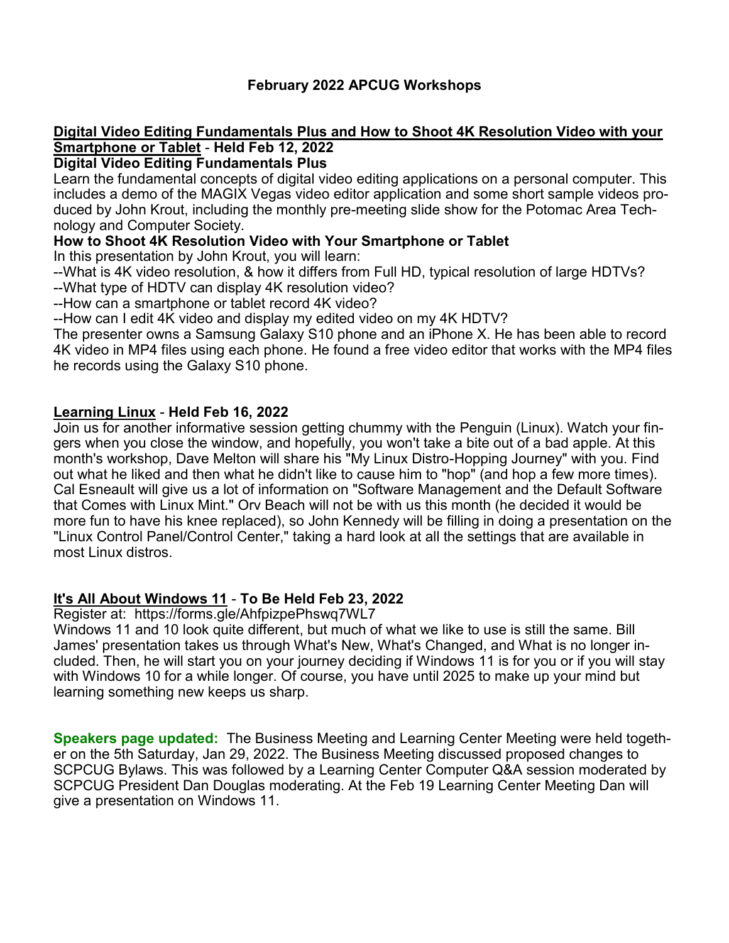## **February 2022 APCUG Workshops**

#### **Digital Video Editing Fundamentals Plus and How to Shoot 4K Resolution Video with your Smartphone or Tablet** - **Held Feb 12, 2022**

#### **Digital Video Editing Fundamentals Plus**

Learn the fundamental concepts of digital video editing applications on a personal computer. This includes a demo of the MAGIX Vegas video editor application and some short sample videos produced by John Krout, including the monthly pre-meeting slide show for the Potomac Area Technology and Computer Society.

#### **How to Shoot 4K Resolution Video with Your Smartphone or Tablet**

In this presentation by John Krout, you will learn:

--What is 4K video resolution, & how it differs from Full HD, typical resolution of large HDTVs? --What type of HDTV can display 4K resolution video?

--How can a smartphone or tablet record 4K video?

--How can I edit 4K video and display my edited video on my 4K HDTV?

The presenter owns a Samsung Galaxy S10 phone and an iPhone X. He has been able to record 4K video in MP4 files using each phone. He found a free video editor that works with the MP4 files he records using the Galaxy S10 phone.

#### **Learning Linux** - **Held Feb 16, 2022**

Join us for another informative session getting chummy with the Penguin (Linux). Watch your fingers when you close the window, and hopefully, you won't take a bite out of a bad apple. At this month's workshop, Dave Melton will share his "My Linux Distro-Hopping Journey" with you. Find out what he liked and then what he didn't like to cause him to "hop" (and hop a few more times). Cal Esneault will give us a lot of information on "Software Management and the Default Software that Comes with Linux Mint." Orv Beach will not be with us this month (he decided it would be more fun to have his knee replaced), so John Kennedy will be filling in doing a presentation on the "Linux Control Panel/Control Center," taking a hard look at all the settings that are available in most Linux distros.

## **It's All About Windows 11** - **To Be Held Feb 23, 2022**

Register at: <https://forms.gle/AhfpizpePhswq7WL7>

Windows 11 and 10 look quite different, but much of what we like to use is still the same. Bill James' presentation takes us through What's New, What's Changed, and What is no longer included. Then, he will start you on your journey deciding if Windows 11 is for you or if you will stay with Windows 10 for a while longer. Of course, you have until 2025 to make up your mind but learning something new keeps us sharp.

**Speakers page updated:** The Business Meeting and Learning Center Meeting were held together on the 5th Saturday, Jan 29, 2022. The Business Meeting discussed proposed changes to SCPCUG Bylaws. This was followed by a Learning Center Computer Q&A session moderated by SCPCUG President Dan Douglas moderating. At the Feb 19 Learning Center Meeting Dan will give a presentation on Windows 11.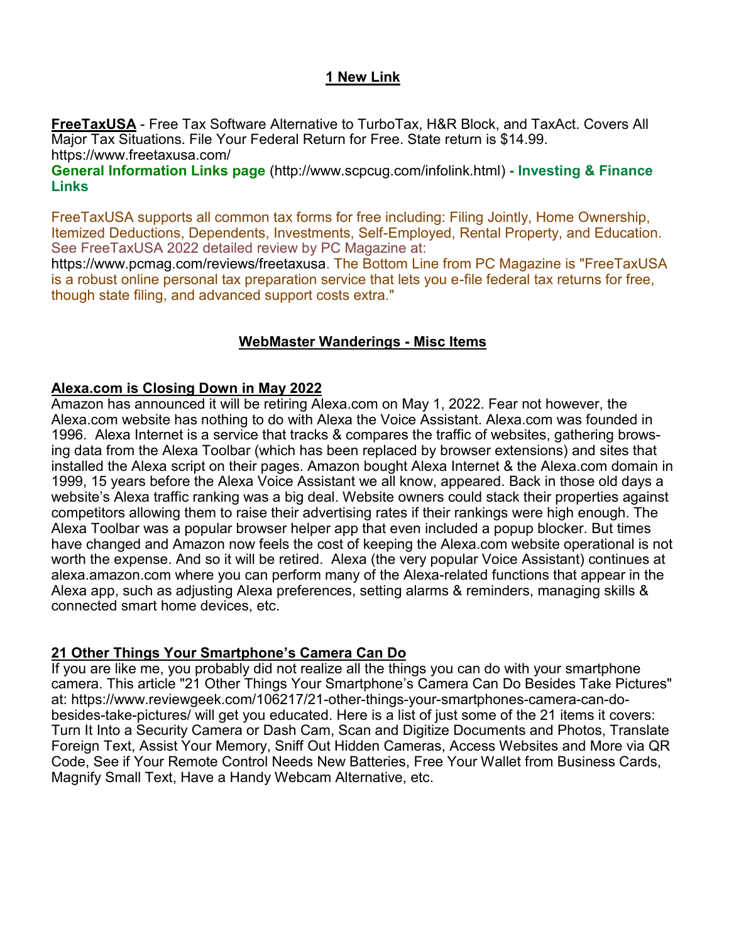## **1 New Link**

**FreeTaxUSA** - Free Tax Software Alternative to TurboTax, H&R Block, and TaxAct. Covers All Major Tax Situations. File Your Federal Return for Free. State return is \$14.99. <https://www.freetaxusa.com/>

**General Information Links page** ([http://www.scpcug.com/infolink.html\)](http://www.scpcug.com/infolink.html) **- Investing & Finance Links**

FreeTaxUSA supports all common tax forms for free including: Filing Jointly, Home Ownership, Itemized Deductions, Dependents, Investments, Self-Employed, Rental Property, and Education. See FreeTaxUSA 2022 detailed review by PC Magazine at:

[https://www.pcmag.com/reviews/freetaxusa.](https://www.pcmag.com/reviews/freetaxusa) The Bottom Line from PC Magazine is "FreeTaxUSA is a robust online personal tax preparation service that lets you e-file federal tax returns for free, though state filing, and advanced support costs extra."

#### **WebMaster Wanderings - Misc Items**

#### **Alexa.com is Closing Down in May 2022**

Amazon has announced it will be retiring Alexa.com on May 1, 2022. Fear not however, the Alexa.com website has nothing to do with Alexa the Voice Assistant. Alexa.com was founded in 1996. Alexa Internet is a service that tracks & compares the traffic of websites, gathering browsing data from the Alexa Toolbar (which has been replaced by browser extensions) and sites that installed the Alexa script on their pages. Amazon bought Alexa Internet & the Alexa.com domain in 1999, 15 years before the Alexa Voice Assistant we all know, appeared. Back in those old days a website's Alexa traffic ranking was a big deal. Website owners could stack their properties against competitors allowing them to raise their advertising rates if their rankings were high enough. The Alexa Toolbar was a popular browser helper app that even included a popup blocker. But times have changed and Amazon now feels the cost of keeping the Alexa.com website operational is not worth the expense. And so it will be retired. Alexa (the very popular Voice Assistant) continues at alexa.amazon.com where you can perform many of the Alexa-related functions that appear in the Alexa app, such as adjusting Alexa preferences, setting alarms & reminders, managing skills & connected smart home devices, etc.

#### **21 Other Things Your Smartphone's Camera Can Do**

If you are like me, you probably did not realize all the things you can do with your smartphone camera. This article "21 Other Things Your Smartphone's Camera Can Do Besides Take Pictures" at: [https://www.reviewgeek.com/106217/21](https://www.reviewgeek.com/106217/21-other-things-your-smartphones-camera-can-do-besides-take-pictures/)-other-things-your-smartphones-camera-can-dobesides-take-[pictures/](https://www.reviewgeek.com/106217/21-other-things-your-smartphones-camera-can-do-besides-take-pictures/) will get you educated. Here is a list of just some of the 21 items it covers: Turn It Into a Security Camera or Dash Cam, Scan and Digitize Documents and Photos, Translate Foreign Text, Assist Your Memory, Sniff Out Hidden Cameras, Access Websites and More via QR Code, See if Your Remote Control Needs New Batteries, Free Your Wallet from Business Cards, Magnify Small Text, Have a Handy Webcam Alternative, etc.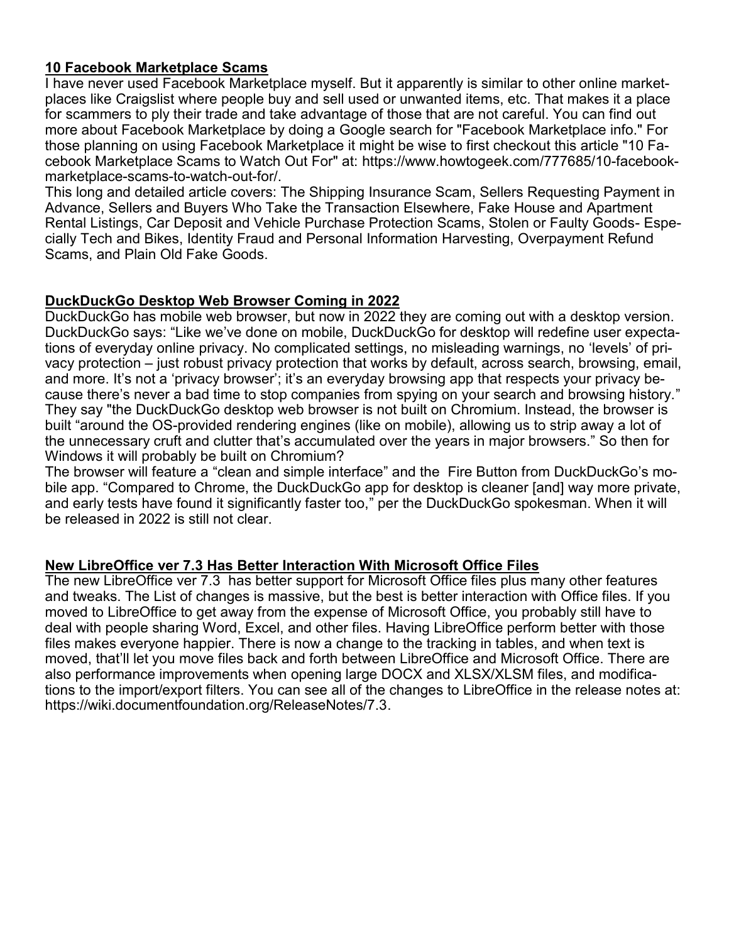#### **10 Facebook Marketplace Scams**

I have never used Facebook Marketplace myself. But it apparently is similar to other online marketplaces like Craigslist where people buy and sell used or unwanted items, etc. That makes it a place for scammers to ply their trade and take advantage of those that are not careful. You can find out more about Facebook Marketplace by doing a Google search for "Facebook Marketplace info." For those planning on using Facebook Marketplace it might be wise to first checkout this article "10 Facebook Marketplace Scams to Watch Out For" at: [https://www.howtogeek.com/777685/10](https://www.howtogeek.com/777685/10-facebook-marketplace-scams-to-watch-out-for/)-facebook[marketplace](https://www.howtogeek.com/777685/10-facebook-marketplace-scams-to-watch-out-for/)-scams-to-watch-out-for/.

This long and detailed article covers: The Shipping Insurance Scam, Sellers Requesting Payment in Advance, Sellers and Buyers Who Take the Transaction Elsewhere, Fake House and Apartment Rental Listings, Car Deposit and Vehicle Purchase Protection Scams, Stolen or Faulty Goods- Especially Tech and Bikes, Identity Fraud and Personal Information Harvesting, Overpayment Refund Scams, and Plain Old Fake Goods.

#### **DuckDuckGo Desktop Web Browser Coming in 2022**

DuckDuckGo has mobile web browser, but now in 2022 they are coming out with a desktop version. DuckDuckGo says: "Like we've done on mobile, DuckDuckGo for desktop will redefine user expectations of everyday online privacy. No complicated settings, no misleading warnings, no 'levels' of privacy protection – just robust privacy protection that works by default, across search, browsing, email, and more. It's not a 'privacy browser'; it's an everyday browsing app that respects your privacy because there's never a bad time to stop companies from spying on your search and browsing history." They say "the DuckDuckGo desktop web browser is not built on Chromium. Instead, the browser is built "around the OS-provided rendering engines (like on mobile), allowing us to strip away a lot of the unnecessary cruft and clutter that's accumulated over the years in major browsers." So then for Windows it will probably be built on Chromium?

The browser will feature a "clean and simple interface" and the Fire Button from DuckDuckGo's mobile app. "Compared to Chrome, the DuckDuckGo app for desktop is cleaner [and] way more private, and early tests have found it significantly faster too," per the DuckDuckGo spokesman. When it will be released in 2022 is still not clear.

## **New LibreOffice ver 7.3 Has Better Interaction With Microsoft Office Files**

The new LibreOffice ver 7.3 has better support for Microsoft Office files plus many other features and tweaks. The List of changes is massive, but the best is better interaction with Office files. If you moved to LibreOffice to get away from the expense of Microsoft Office, you probably still have to deal with people sharing Word, Excel, and other files. Having LibreOffice perform better with those files makes everyone happier. There is now a change to the tracking in tables, and when text is moved, that'll let you move files back and forth between LibreOffice and Microsoft Office. There are also performance improvements when opening large DOCX and XLSX/XLSM files, and modifications to the import/export filters. You can see all of the changes to LibreOffice in the release notes at: [https://wiki.documentfoundation.org/ReleaseNotes/7.3.](https://wiki.documentfoundation.org/ReleaseNotes/7.3)